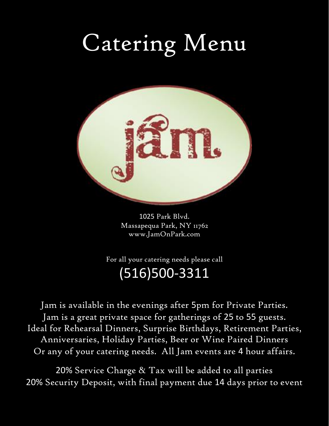# Catering Menu



1025 Park Blvd. Massapequa Park, NY 11762 www.JamOnPark.com

For all your catering needs please call (516)500-3311

Jam is available in the evenings after 5pm for Private Parties. Jam is a great private space for gatherings of 25 to 55 guests. Ideal for Rehearsal Dinners, Surprise Birthdays, Retirement Parties, Anniversaries, Holiday Parties, Beer or Wine Paired Dinners Or any of your catering needs. All Jam events are 4 hour affairs.

20% Service Charge & Tax will be added to all parties 20% Security Deposit, with final payment due 14 days prior to event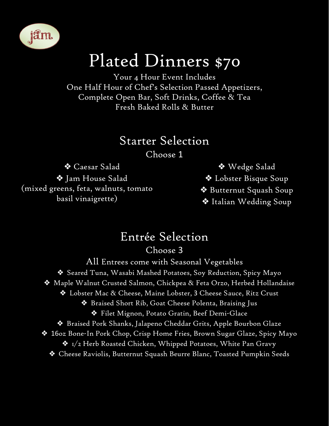

### Plated Dinners \$70

Your 4 Hour Event Includes One Half Hour of Chef's Selection Passed Appetizers, Complete Open Bar, Soft Drinks, Coffee & Tea Fresh Baked Rolls & Butter

#### Starter Selection

Choose 1

❖ Caesar Salad ❖ Jam House Salad (mixed greens, feta, walnuts, tomato basil vinaigrette)

❖ Wedge Salad ❖ Lobster Bisque Soup ❖ Butternut Squash Soup ❖ Italian Wedding Soup

### Entrée Selection

#### Choose 3

All Entrees come with Seasonal Vegetables ❖ Seared Tuna, Wasabi Mashed Potatoes, Soy Reduction, Spicy Mayo ❖ Maple Walnut Crusted Salmon, Chickpea & Feta Orzo, Herbed Hollandaise ❖ Lobster Mac & Cheese, Maine Lobster, 3 Cheese Sauce, Ritz Crust ❖ Braised Short Rib, Goat Cheese Polenta, Braising Jus ❖ Filet Mignon, Potato Gratin, Beef Demi-Glace ❖ Braised Pork Shanks, Jalapeno Cheddar Grits, Apple Bourbon Glaze ❖ 16oz Bone-In Pork Chop, Crisp Home Fries, Brown Sugar Glaze, Spicy Mayo  $\bf{\hat{*}}$  1/2 Herb Roasted Chicken, Whipped Potatoes, White Pan Gravy ❖ Cheese Raviolis, Butternut Squash Beurre Blanc, Toasted Pumpkin Seeds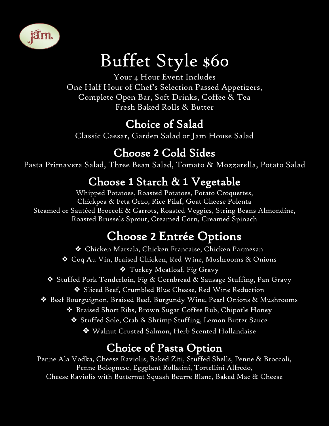

## Buffet Style \$60

Your 4 Hour Event Includes One Half Hour of Chef's Selection Passed Appetizers, Complete Open Bar, Soft Drinks, Coffee & Tea Fresh Baked Rolls & Butter

#### Choice of Salad

Classic Caesar, Garden Salad or Jam House Salad

#### Choose **2** Cold Sides

Pasta Primavera Salad, Three Bean Salad, Tomato & Mozzarella, Potato Salad

#### Choose **1** Starch & **1** Vegetable

Whipped Potatoes, Roasted Potatoes, Potato Croquettes, Chickpea & Feta Orzo, Rice Pilaf, Goat Cheese Polenta Steamed or Sautéed Broccoli & Carrots, Roasted Veggies, String Beans Almondine, Roasted Brussels Sprout, Creamed Corn, Creamed Spinach

#### Choose **2** Entrée Options

❖ Chicken Marsala, Chicken Francaise, Chicken Parmesan ❖ Coq Au Vin, Braised Chicken, Red Wine, Mushrooms & Onions ❖ Turkey Meatloaf, Fig Gravy ❖ Stuffed Pork Tenderloin, Fig & Cornbread & Sausage Stuffing, Pan Gravy ❖ Sliced Beef, Crumbled Blue Cheese, Red Wine Reduction ❖ Beef Bourguignon, Braised Beef, Burgundy Wine, Pearl Onions & Mushrooms ❖ Braised Short Ribs, Brown Sugar Coffee Rub, Chipotle Honey ❖ Stuffed Sole, Crab & Shrimp Stuffing, Lemon Butter Sauce ❖ Walnut Crusted Salmon, Herb Scented Hollandaise

#### Choice of Pasta Option

Penne Ala Vodka, Cheese Raviolis, Baked Ziti, Stuffed Shells, Penne & Broccoli, Penne Bolognese, Eggplant Rollatini, Tortellini Alfredo, Cheese Raviolis with Butternut Squash Beurre Blanc, Baked Mac & Cheese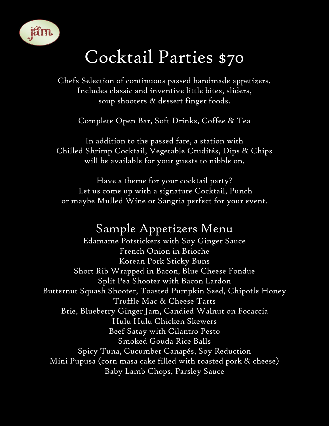

### Cocktail Parties \$70

Chefs Selection of continuous passed handmade appetizers. Includes classic and inventive little bites, sliders, soup shooters & dessert finger foods.

Complete Open Bar, Soft Drinks, Coffee & Tea

In addition to the passed fare, a station with Chilled Shrimp Cocktail, Vegetable Crudités, Dips & Chips will be available for your guests to nibble on.

Have a theme for your cocktail party? Let us come up with a signature Cocktail, Punch or maybe Mulled Wine or Sangria perfect for your event.

#### Sample Appetizers Menu

Edamame Potstickers with Soy Ginger Sauce French Onion in Brioche Korean Pork Sticky Buns Short Rib Wrapped in Bacon, Blue Cheese Fondue Split Pea Shooter with Bacon Lardon Butternut Squash Shooter, Toasted Pumpkin Seed, Chipotle Honey Truffle Mac & Cheese Tarts Brie, Blueberry Ginger Jam, Candied Walnut on Focaccia Hulu Hulu Chicken Skewers Beef Satay with Cilantro Pesto Smoked Gouda Rice Balls Spicy Tuna, Cucumber Canapés, Soy Reduction Mini Pupusa (corn masa cake filled with roasted pork & cheese) Baby Lamb Chops, Parsley Sauce